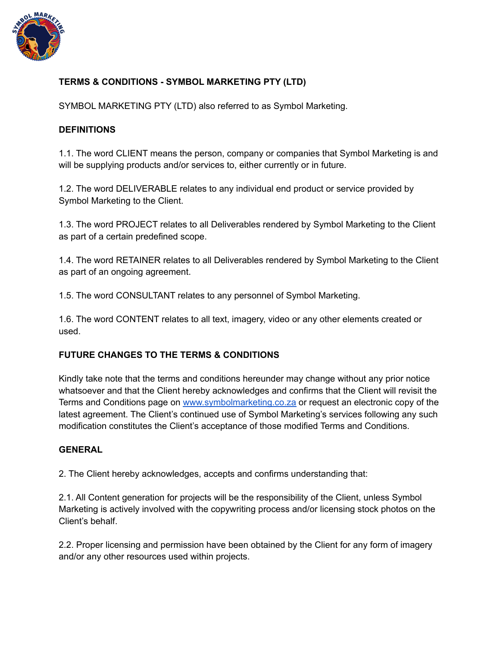

## **TERMS & CONDITIONS - SYMBOL MARKETING PTY (LTD)**

SYMBOL MARKETING PTY (LTD) also referred to as Symbol Marketing.

#### **DEFINITIONS**

1.1. The word CLIENT means the person, company or companies that Symbol Marketing is and will be supplying products and/or services to, either currently or in future.

1.2. The word DELIVERABLE relates to any individual end product or service provided by Symbol Marketing to the Client.

1.3. The word PROJECT relates to all Deliverables rendered by Symbol Marketing to the Client as part of a certain predefined scope.

1.4. The word RETAINER relates to all Deliverables rendered by Symbol Marketing to the Client as part of an ongoing agreement.

1.5. The word CONSULTANT relates to any personnel of Symbol Marketing.

1.6. The word CONTENT relates to all text, imagery, video or any other elements created or used.

## **FUTURE CHANGES TO THE TERMS & CONDITIONS**

Kindly take note that the terms and conditions hereunder may change without any prior notice whatsoever and that the Client hereby acknowledges and confirms that the Client will revisit the Terms and Conditions page on [www.symbolmarketing.co.za](http://www.symbolmarketing.co.za) or request an electronic copy of the latest agreement. The Client's continued use of Symbol Marketing's services following any such modification constitutes the Client's acceptance of those modified Terms and Conditions.

## **GENERAL**

2. The Client hereby acknowledges, accepts and confirms understanding that:

2.1. All Content generation for projects will be the responsibility of the Client, unless Symbol Marketing is actively involved with the copywriting process and/or licensing stock photos on the Client's behalf.

2.2. Proper licensing and permission have been obtained by the Client for any form of imagery and/or any other resources used within projects.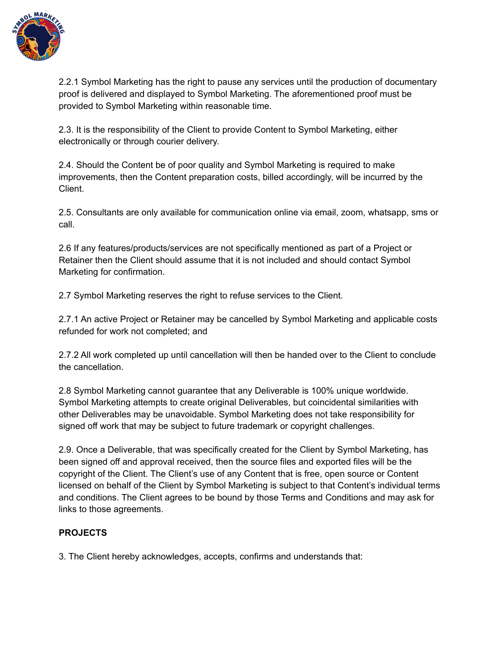

2.2.1 Symbol Marketing has the right to pause any services until the production of documentary proof is delivered and displayed to Symbol Marketing. The aforementioned proof must be provided to Symbol Marketing within reasonable time.

2.3. It is the responsibility of the Client to provide Content to Symbol Marketing, either electronically or through courier delivery.

2.4. Should the Content be of poor quality and Symbol Marketing is required to make improvements, then the Content preparation costs, billed accordingly, will be incurred by the Client.

2.5. Consultants are only available for communication online via email, zoom, whatsapp, sms or call.

2.6 If any features/products/services are not specifically mentioned as part of a Project or Retainer then the Client should assume that it is not included and should contact Symbol Marketing for confirmation.

2.7 Symbol Marketing reserves the right to refuse services to the Client.

2.7.1 An active Project or Retainer may be cancelled by Symbol Marketing and applicable costs refunded for work not completed; and

2.7.2 All work completed up until cancellation will then be handed over to the Client to conclude the cancellation.

2.8 Symbol Marketing cannot guarantee that any Deliverable is 100% unique worldwide. Symbol Marketing attempts to create original Deliverables, but coincidental similarities with other Deliverables may be unavoidable. Symbol Marketing does not take responsibility for signed off work that may be subject to future trademark or copyright challenges.

2.9. Once a Deliverable, that was specifically created for the Client by Symbol Marketing, has been signed off and approval received, then the source files and exported files will be the copyright of the Client. The Client's use of any Content that is free, open source or Content licensed on behalf of the Client by Symbol Marketing is subject to that Content's individual terms and conditions. The Client agrees to be bound by those Terms and Conditions and may ask for links to those agreements.

# **PROJECTS**

3. The Client hereby acknowledges, accepts, confirms and understands that: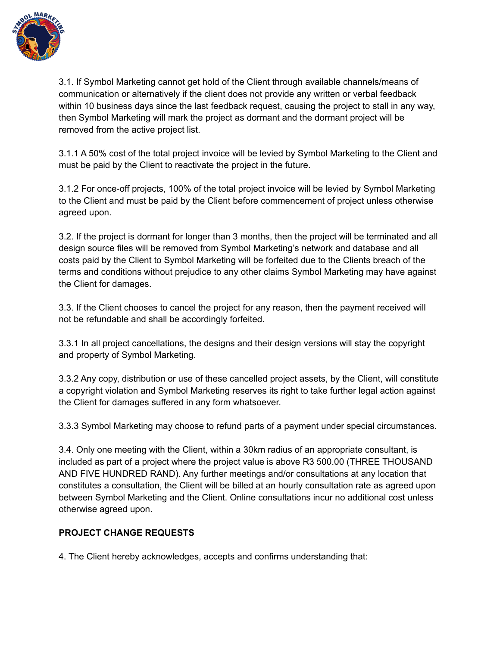

3.1. If Symbol Marketing cannot get hold of the Client through available channels/means of communication or alternatively if the client does not provide any written or verbal feedback within 10 business days since the last feedback request, causing the project to stall in any way, then Symbol Marketing will mark the project as dormant and the dormant project will be removed from the active project list.

3.1.1 A 50% cost of the total project invoice will be levied by Symbol Marketing to the Client and must be paid by the Client to reactivate the project in the future.

3.1.2 For once-off projects, 100% of the total project invoice will be levied by Symbol Marketing to the Client and must be paid by the Client before commencement of project unless otherwise agreed upon.

3.2. If the project is dormant for longer than 3 months, then the project will be terminated and all design source files will be removed from Symbol Marketing's network and database and all costs paid by the Client to Symbol Marketing will be forfeited due to the Clients breach of the terms and conditions without prejudice to any other claims Symbol Marketing may have against the Client for damages.

3.3. If the Client chooses to cancel the project for any reason, then the payment received will not be refundable and shall be accordingly forfeited.

3.3.1 In all project cancellations, the designs and their design versions will stay the copyright and property of Symbol Marketing.

3.3.2 Any copy, distribution or use of these cancelled project assets, by the Client, will constitute a copyright violation and Symbol Marketing reserves its right to take further legal action against the Client for damages suffered in any form whatsoever.

3.3.3 Symbol Marketing may choose to refund parts of a payment under special circumstances.

3.4. Only one meeting with the Client, within a 30km radius of an appropriate consultant, is included as part of a project where the project value is above R3 500.00 (THREE THOUSAND AND FIVE HUNDRED RAND). Any further meetings and/or consultations at any location that constitutes a consultation, the Client will be billed at an hourly consultation rate as agreed upon between Symbol Marketing and the Client. Online consultations incur no additional cost unless otherwise agreed upon.

# **PROJECT CHANGE REQUESTS**

4. The Client hereby acknowledges, accepts and confirms understanding that: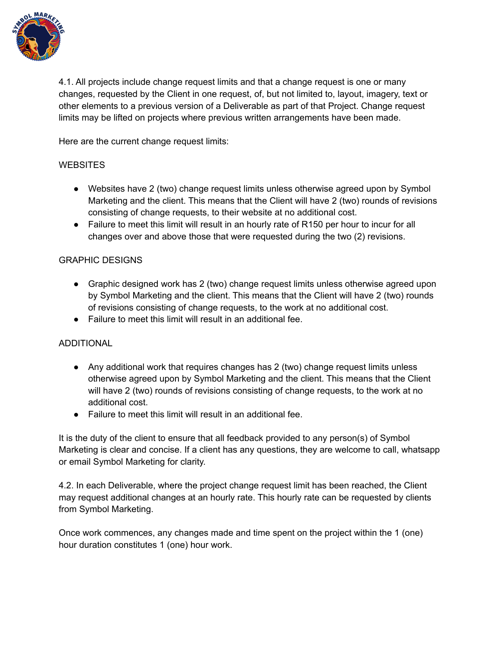

4.1. All projects include change request limits and that a change request is one or many changes, requested by the Client in one request, of, but not limited to, layout, imagery, text or other elements to a previous version of a Deliverable as part of that Project. Change request limits may be lifted on projects where previous written arrangements have been made.

Here are the current change request limits:

#### **WEBSITES**

- Websites have 2 (two) change request limits unless otherwise agreed upon by Symbol Marketing and the client. This means that the Client will have 2 (two) rounds of revisions consisting of change requests, to their website at no additional cost.
- Failure to meet this limit will result in an hourly rate of R150 per hour to incur for all changes over and above those that were requested during the two (2) revisions.

#### GRAPHIC DESIGNS

- Graphic designed work has 2 (two) change request limits unless otherwise agreed upon by Symbol Marketing and the client. This means that the Client will have 2 (two) rounds of revisions consisting of change requests, to the work at no additional cost.
- Failure to meet this limit will result in an additional fee.

## ADDITIONAL

- Any additional work that requires changes has 2 (two) change request limits unless otherwise agreed upon by Symbol Marketing and the client. This means that the Client will have 2 (two) rounds of revisions consisting of change requests, to the work at no additional cost.
- Failure to meet this limit will result in an additional fee.

It is the duty of the client to ensure that all feedback provided to any person(s) of Symbol Marketing is clear and concise. If a client has any questions, they are welcome to call, whatsapp or email Symbol Marketing for clarity.

4.2. In each Deliverable, where the project change request limit has been reached, the Client may request additional changes at an hourly rate. This hourly rate can be requested by clients from Symbol Marketing.

Once work commences, any changes made and time spent on the project within the 1 (one) hour duration constitutes 1 (one) hour work.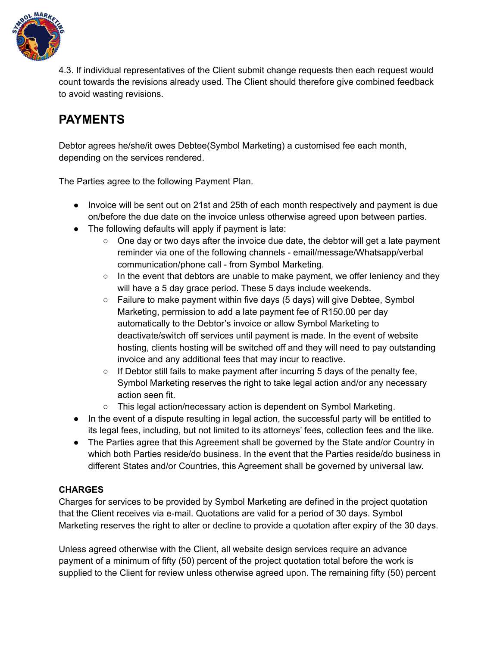

4.3. If individual representatives of the Client submit change requests then each request would count towards the revisions already used. The Client should therefore give combined feedback to avoid wasting revisions.

# **PAYMENTS**

Debtor agrees he/she/it owes Debtee(Symbol Marketing) a customised fee each month, depending on the services rendered.

The Parties agree to the following Payment Plan.

- Invoice will be sent out on 21st and 25th of each month respectively and payment is due on/before the due date on the invoice unless otherwise agreed upon between parties.
- The following defaults will apply if payment is late:
	- One day or two days after the invoice due date, the debtor will get a late payment reminder via one of the following channels - email/message/Whatsapp/verbal communication/phone call - from Symbol Marketing.
	- $\circ$  In the event that debtors are unable to make payment, we offer leniency and they will have a 5 day grace period. These 5 days include weekends.
	- Failure to make payment within five days (5 days) will give Debtee, Symbol Marketing, permission to add a late payment fee of R150.00 per day automatically to the Debtor's invoice or allow Symbol Marketing to deactivate/switch off services until payment is made. In the event of website hosting, clients hosting will be switched off and they will need to pay outstanding invoice and any additional fees that may incur to reactive.
	- $\circ$  If Debtor still fails to make payment after incurring 5 days of the penalty fee, Symbol Marketing reserves the right to take legal action and/or any necessary action seen fit.
	- $\circ$  This legal action/necessary action is dependent on Symbol Marketing.
- In the event of a dispute resulting in legal action, the successful party will be entitled to its legal fees, including, but not limited to its attorneys' fees, collection fees and the like.
- The Parties agree that this Agreement shall be governed by the State and/or Country in which both Parties reside/do business. In the event that the Parties reside/do business in different States and/or Countries, this Agreement shall be governed by universal law.

# **CHARGES**

Charges for services to be provided by Symbol Marketing are defined in the project quotation that the Client receives via e-mail. Quotations are valid for a period of 30 days. Symbol Marketing reserves the right to alter or decline to provide a quotation after expiry of the 30 days.

Unless agreed otherwise with the Client, all website design services require an advance payment of a minimum of fifty (50) percent of the project quotation total before the work is supplied to the Client for review unless otherwise agreed upon. The remaining fifty (50) percent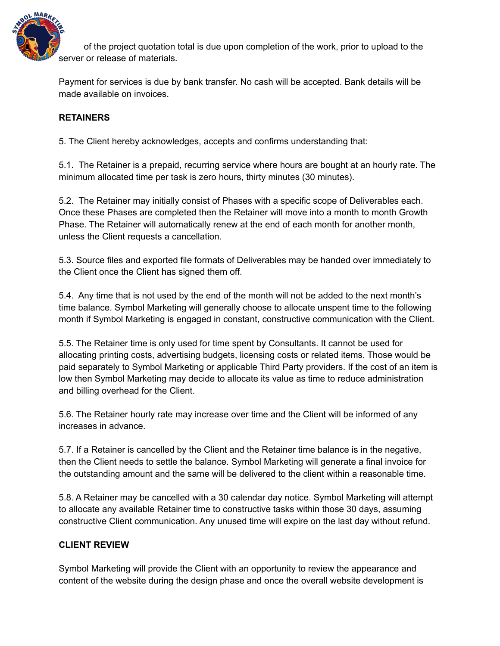

of the project quotation total is due upon completion of the work, prior to upload to the server or release of materials.

Payment for services is due by bank transfer. No cash will be accepted. Bank details will be made available on invoices.

# **RETAINERS**

5. The Client hereby acknowledges, accepts and confirms understanding that:

5.1. The Retainer is a prepaid, recurring service where hours are bought at an hourly rate. The minimum allocated time per task is zero hours, thirty minutes (30 minutes).

5.2. The Retainer may initially consist of Phases with a specific scope of Deliverables each. Once these Phases are completed then the Retainer will move into a month to month Growth Phase. The Retainer will automatically renew at the end of each month for another month, unless the Client requests a cancellation.

5.3. Source files and exported file formats of Deliverables may be handed over immediately to the Client once the Client has signed them off.

5.4. Any time that is not used by the end of the month will not be added to the next month's time balance. Symbol Marketing will generally choose to allocate unspent time to the following month if Symbol Marketing is engaged in constant, constructive communication with the Client.

5.5. The Retainer time is only used for time spent by Consultants. It cannot be used for allocating printing costs, advertising budgets, licensing costs or related items. Those would be paid separately to Symbol Marketing or applicable Third Party providers. If the cost of an item is low then Symbol Marketing may decide to allocate its value as time to reduce administration and billing overhead for the Client.

5.6. The Retainer hourly rate may increase over time and the Client will be informed of any increases in advance.

5.7. If a Retainer is cancelled by the Client and the Retainer time balance is in the negative, then the Client needs to settle the balance. Symbol Marketing will generate a final invoice for the outstanding amount and the same will be delivered to the client within a reasonable time.

5.8. A Retainer may be cancelled with a 30 calendar day notice. Symbol Marketing will attempt to allocate any available Retainer time to constructive tasks within those 30 days, assuming constructive Client communication. Any unused time will expire on the last day without refund.

## **CLIENT REVIEW**

Symbol Marketing will provide the Client with an opportunity to review the appearance and content of the website during the design phase and once the overall website development is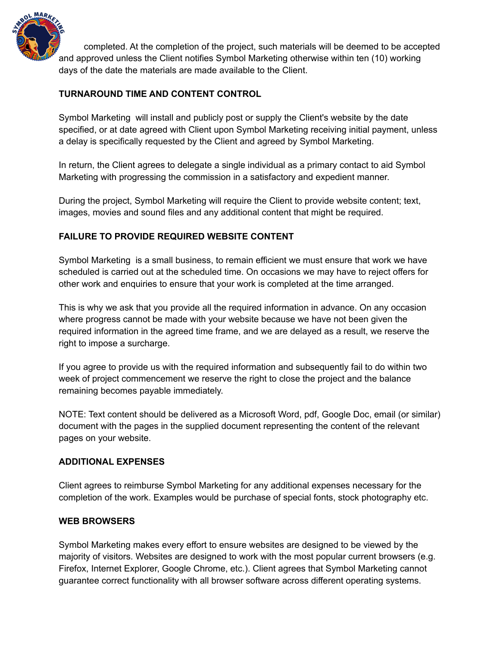

completed. At the completion of the project, such materials will be deemed to be accepted and approved unless the Client notifies Symbol Marketing otherwise within ten (10) working days of the date the materials are made available to the Client.

# **TURNAROUND TIME AND CONTENT CONTROL**

Symbol Marketing will install and publicly post or supply the Client's website by the date specified, or at date agreed with Client upon Symbol Marketing receiving initial payment, unless a delay is specifically requested by the Client and agreed by Symbol Marketing.

In return, the Client agrees to delegate a single individual as a primary contact to aid Symbol Marketing with progressing the commission in a satisfactory and expedient manner.

During the project, Symbol Marketing will require the Client to provide website content; text, images, movies and sound files and any additional content that might be required.

# **FAILURE TO PROVIDE REQUIRED WEBSITE CONTENT**

Symbol Marketing is a small business, to remain efficient we must ensure that work we have scheduled is carried out at the scheduled time. On occasions we may have to reject offers for other work and enquiries to ensure that your work is completed at the time arranged.

This is why we ask that you provide all the required information in advance. On any occasion where progress cannot be made with your website because we have not been given the required information in the agreed time frame, and we are delayed as a result, we reserve the right to impose a surcharge.

If you agree to provide us with the required information and subsequently fail to do within two week of project commencement we reserve the right to close the project and the balance remaining becomes payable immediately.

NOTE: Text content should be delivered as a Microsoft Word, pdf, Google Doc, email (or similar) document with the pages in the supplied document representing the content of the relevant pages on your website.

## **ADDITIONAL EXPENSES**

Client agrees to reimburse Symbol Marketing for any additional expenses necessary for the completion of the work. Examples would be purchase of special fonts, stock photography etc.

## **WEB BROWSERS**

Symbol Marketing makes every effort to ensure websites are designed to be viewed by the majority of visitors. Websites are designed to work with the most popular current browsers (e.g. Firefox, Internet Explorer, Google Chrome, etc.). Client agrees that Symbol Marketing cannot guarantee correct functionality with all browser software across different operating systems.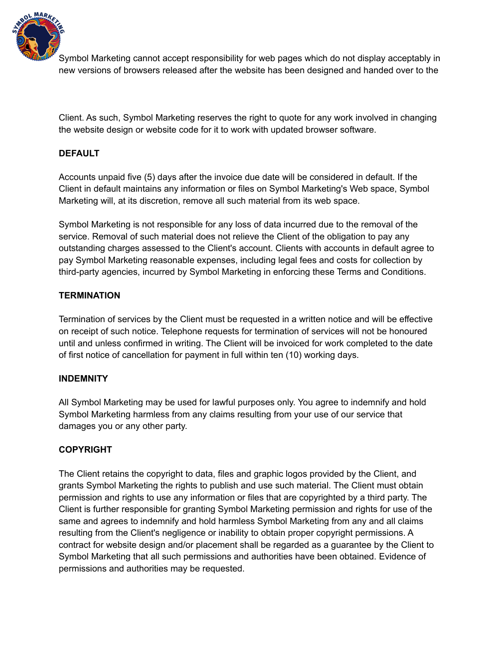

Symbol Marketing cannot accept responsibility for web pages which do not display acceptably in new versions of browsers released after the website has been designed and handed over to the

Client. As such, Symbol Marketing reserves the right to quote for any work involved in changing the website design or website code for it to work with updated browser software.

# **DEFAULT**

Accounts unpaid five (5) days after the invoice due date will be considered in default. If the Client in default maintains any information or files on Symbol Marketing's Web space, Symbol Marketing will, at its discretion, remove all such material from its web space.

Symbol Marketing is not responsible for any loss of data incurred due to the removal of the service. Removal of such material does not relieve the Client of the obligation to pay any outstanding charges assessed to the Client's account. Clients with accounts in default agree to pay Symbol Marketing reasonable expenses, including legal fees and costs for collection by third-party agencies, incurred by Symbol Marketing in enforcing these Terms and Conditions.

#### **TERMINATION**

Termination of services by the Client must be requested in a written notice and will be effective on receipt of such notice. Telephone requests for termination of services will not be honoured until and unless confirmed in writing. The Client will be invoiced for work completed to the date of first notice of cancellation for payment in full within ten (10) working days.

#### **INDEMNITY**

All Symbol Marketing may be used for lawful purposes only. You agree to indemnify and hold Symbol Marketing harmless from any claims resulting from your use of our service that damages you or any other party.

## **COPYRIGHT**

The Client retains the copyright to data, files and graphic logos provided by the Client, and grants Symbol Marketing the rights to publish and use such material. The Client must obtain permission and rights to use any information or files that are copyrighted by a third party. The Client is further responsible for granting Symbol Marketing permission and rights for use of the same and agrees to indemnify and hold harmless Symbol Marketing from any and all claims resulting from the Client's negligence or inability to obtain proper copyright permissions. A contract for website design and/or placement shall be regarded as a guarantee by the Client to Symbol Marketing that all such permissions and authorities have been obtained. Evidence of permissions and authorities may be requested.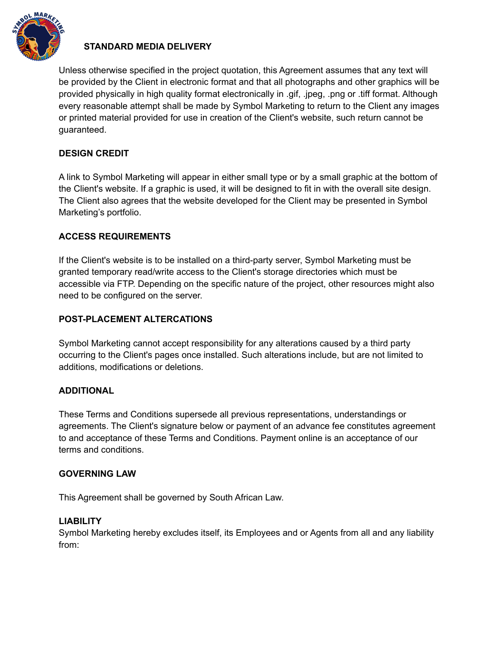

# **STANDARD MEDIA DELIVERY**

Unless otherwise specified in the project quotation, this Agreement assumes that any text will be provided by the Client in electronic format and that all photographs and other graphics will be provided physically in high quality format electronically in .gif, .jpeg, .png or .tiff format. Although every reasonable attempt shall be made by Symbol Marketing to return to the Client any images or printed material provided for use in creation of the Client's website, such return cannot be guaranteed.

## **DESIGN CREDIT**

A link to Symbol Marketing will appear in either small type or by a small graphic at the bottom of the Client's website. If a graphic is used, it will be designed to fit in with the overall site design. The Client also agrees that the website developed for the Client may be presented in Symbol Marketing's portfolio.

## **ACCESS REQUIREMENTS**

If the Client's website is to be installed on a third-party server, Symbol Marketing must be granted temporary read/write access to the Client's storage directories which must be accessible via FTP. Depending on the specific nature of the project, other resources might also need to be configured on the server.

#### **POST-PLACEMENT ALTERCATIONS**

Symbol Marketing cannot accept responsibility for any alterations caused by a third party occurring to the Client's pages once installed. Such alterations include, but are not limited to additions, modifications or deletions.

#### **ADDITIONAL**

These Terms and Conditions supersede all previous representations, understandings or agreements. The Client's signature below or payment of an advance fee constitutes agreement to and acceptance of these Terms and Conditions. Payment online is an acceptance of our terms and conditions.

#### **GOVERNING LAW**

This Agreement shall be governed by South African Law.

#### **LIABILITY**

Symbol Marketing hereby excludes itself, its Employees and or Agents from all and any liability from: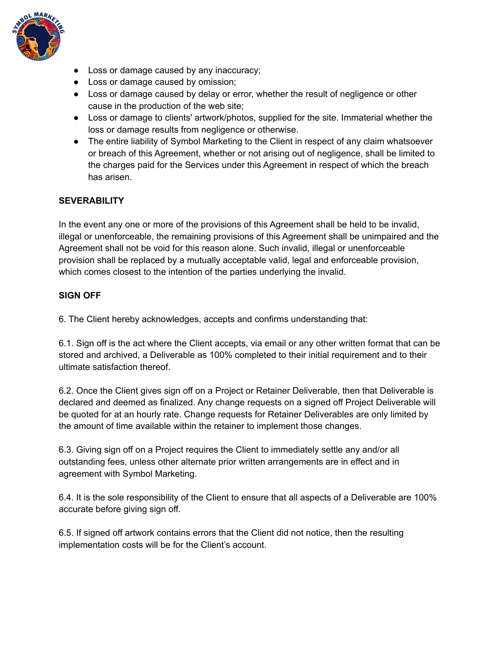

- Loss or damage caused by any inaccuracy;
- Loss or damage caused by omission;
- Loss or damage caused by delay or error, whether the result of negligence or other cause in the production of the web site;
- Loss or damage to clients' artwork/photos, supplied for the site. Immaterial whether the loss or damage results from negligence or otherwise.
- The entire liability of Symbol Marketing to the Client in respect of any claim whatsoever or breach of this Agreement, whether or not arising out of negligence, shall be limited to the charges paid for the Services under this Agreement in respect of which the breach has arisen.

## **SEVERABILITY**

In the event any one or more of the provisions of this Agreement shall be held to be invalid, illegal or unenforceable, the remaining provisions of this Agreement shall be unimpaired and the Agreement shall not be void for this reason alone. Such invalid, illegal or unenforceable provision shall be replaced by a mutually acceptable valid, legal and enforceable provision, which comes closest to the intention of the parties underlying the invalid.

## **SIGN OFF**

6. The Client hereby acknowledges, accepts and confirms understanding that:

6.1. Sign off is the act where the Client accepts, via email or any other written format that can be stored and archived, a Deliverable as 100% completed to their initial requirement and to their ultimate satisfaction thereof.

6.2. Once the Client gives sign off on a Project or Retainer Deliverable, then that Deliverable is declared and deemed as finalized. Any change requests on a signed off Project Deliverable will be quoted for at an hourly rate. Change requests for Retainer Deliverables are only limited by the amount of time available within the retainer to implement those changes.

6.3. Giving sign off on a Project requires the Client to immediately settle any and/or all outstanding fees, unless other alternate prior written arrangements are in effect and in agreement with Symbol Marketing.

6.4. It is the sole responsibility of the Client to ensure that all aspects of a Deliverable are 100% accurate before giving sign off.

6.5. If signed off artwork contains errors that the Client did not notice, then the resulting implementation costs will be for the Client's account.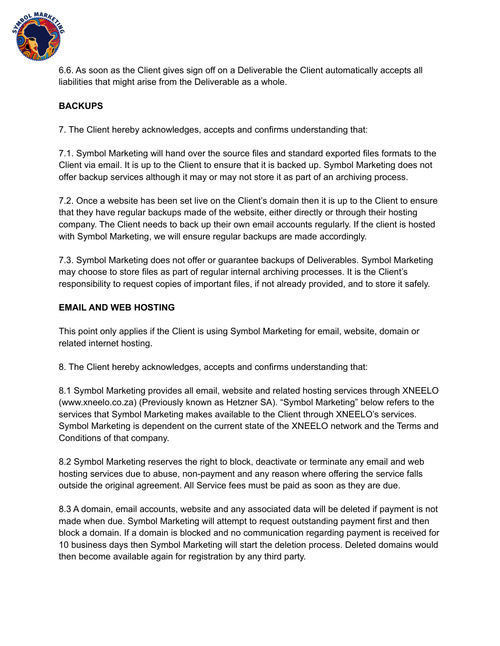

6.6. As soon as the Client gives sign off on a Deliverable the Client automatically accepts all liabilities that might arise from the Deliverable as a whole.

# **BACKUPS**

7. The Client hereby acknowledges, accepts and confirms understanding that:

7.1. Symbol Marketing will hand over the source files and standard exported files formats to the Client via email. It is up to the Client to ensure that it is backed up. Symbol Marketing does not offer backup services although it may or may not store it as part of an archiving process.

7.2. Once a website has been set live on the Client's domain then it is up to the Client to ensure that they have regular backups made of the website, either directly or through their hosting company. The Client needs to back up their own email accounts regularly. If the client is hosted with Symbol Marketing, we will ensure regular backups are made accordingly.

7.3. Symbol Marketing does not offer or guarantee backups of Deliverables. Symbol Marketing may choose to store files as part of regular internal archiving processes. It is the Client's responsibility to request copies of important files, if not already provided, and to store it safely.

# **EMAIL AND WEB HOSTING**

This point only applies if the Client is using Symbol Marketing for email, website, domain or related internet hosting.

8. The Client hereby acknowledges, accepts and confirms understanding that:

8.1 Symbol Marketing provides all email, website and related hosting services through XNEELO (www.xneelo.co.za) (Previously known as Hetzner SA). "Symbol Marketing" below refers to the services that Symbol Marketing makes available to the Client through XNEELO's services. Symbol Marketing is dependent on the current state of the XNEELO network and the Terms and Conditions of that company.

8.2 Symbol Marketing reserves the right to block, deactivate or terminate any email and web hosting services due to abuse, non-payment and any reason where offering the service falls outside the original agreement. All Service fees must be paid as soon as they are due.

8.3 A domain, email accounts, website and any associated data will be deleted if payment is not made when due. Symbol Marketing will attempt to request outstanding payment first and then block a domain. If a domain is blocked and no communication regarding payment is received for 10 business days then Symbol Marketing will start the deletion process. Deleted domains would then become available again for registration by any third party.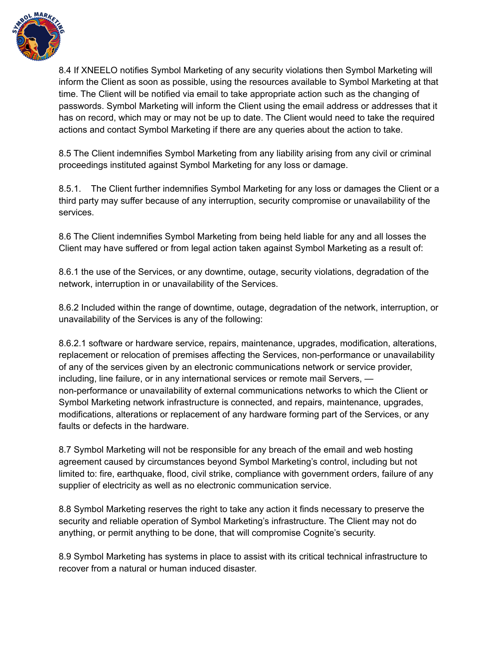

8.4 If XNEELO notifies Symbol Marketing of any security violations then Symbol Marketing will inform the Client as soon as possible, using the resources available to Symbol Marketing at that time. The Client will be notified via email to take appropriate action such as the changing of passwords. Symbol Marketing will inform the Client using the email address or addresses that it has on record, which may or may not be up to date. The Client would need to take the required actions and contact Symbol Marketing if there are any queries about the action to take.

8.5 The Client indemnifies Symbol Marketing from any liability arising from any civil or criminal proceedings instituted against Symbol Marketing for any loss or damage.

8.5.1. The Client further indemnifies Symbol Marketing for any loss or damages the Client or a third party may suffer because of any interruption, security compromise or unavailability of the services.

8.6 The Client indemnifies Symbol Marketing from being held liable for any and all losses the Client may have suffered or from legal action taken against Symbol Marketing as a result of:

8.6.1 the use of the Services, or any downtime, outage, security violations, degradation of the network, interruption in or unavailability of the Services.

8.6.2 Included within the range of downtime, outage, degradation of the network, interruption, or unavailability of the Services is any of the following:

8.6.2.1 software or hardware service, repairs, maintenance, upgrades, modification, alterations, replacement or relocation of premises affecting the Services, non-performance or unavailability of any of the services given by an electronic communications network or service provider, including, line failure, or in any international services or remote mail Servers, non-performance or unavailability of external communications networks to which the Client or Symbol Marketing network infrastructure is connected, and repairs, maintenance, upgrades, modifications, alterations or replacement of any hardware forming part of the Services, or any faults or defects in the hardware.

8.7 Symbol Marketing will not be responsible for any breach of the email and web hosting agreement caused by circumstances beyond Symbol Marketing's control, including but not limited to: fire, earthquake, flood, civil strike, compliance with government orders, failure of any supplier of electricity as well as no electronic communication service.

8.8 Symbol Marketing reserves the right to take any action it finds necessary to preserve the security and reliable operation of Symbol Marketing's infrastructure. The Client may not do anything, or permit anything to be done, that will compromise Cognite's security.

8.9 Symbol Marketing has systems in place to assist with its critical technical infrastructure to recover from a natural or human induced disaster.